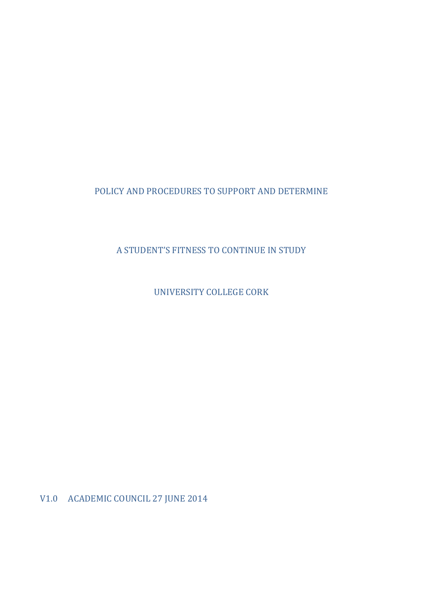# POLICY AND PROCEDURES TO SUPPORT AND DETERMINE

A STUDENT'S FITNESS TO CONTINUE IN STUDY

UNIVERSITY COLLEGE CORK

V1.0 ACADEMIC COUNCIL 27 JUNE 2014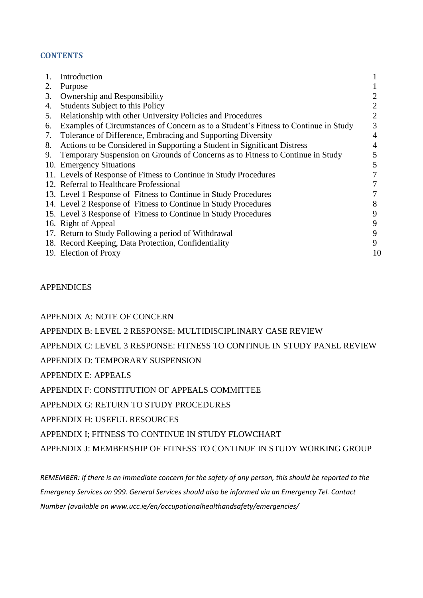## **CONTENTS**

|    | Introduction                                                                        |    |
|----|-------------------------------------------------------------------------------------|----|
| 2. | Purpose                                                                             |    |
| 3. | Ownership and Responsibility                                                        |    |
| 4. | <b>Students Subject to this Policy</b>                                              |    |
| 5. | Relationship with other University Policies and Procedures                          |    |
| 6. | Examples of Circumstances of Concern as to a Student's Fitness to Continue in Study | 3  |
| 7. | Tolerance of Difference, Embracing and Supporting Diversity                         | 4  |
| 8. | Actions to be Considered in Supporting a Student in Significant Distress            |    |
| 9. | Temporary Suspension on Grounds of Concerns as to Fitness to Continue in Study      | 5  |
|    | 10. Emergency Situations                                                            |    |
|    | 11. Levels of Response of Fitness to Continue in Study Procedures                   |    |
|    | 12. Referral to Healthcare Professional                                             |    |
|    | 13. Level 1 Response of Fitness to Continue in Study Procedures                     |    |
|    | 14. Level 2 Response of Fitness to Continue in Study Procedures                     | 8  |
|    | 15. Level 3 Response of Fitness to Continue in Study Procedures                     | 9  |
|    | 16. Right of Appeal                                                                 | 9  |
|    | 17. Return to Study Following a period of Withdrawal                                | 9  |
|    | 18. Record Keeping, Data Protection, Confidentiality                                | 9  |
|    | 19. Election of Proxy                                                               | 10 |

APPENDICES

APPENDIX A: NOTE OF CONCERN

APPENDIX B: LEVEL 2 RESPONSE: MULTIDISCIPLINARY CASE REVIEW

APPENDIX C: LEVEL 3 RESPONSE: FITNESS TO CONTINUE IN STUDY PANEL REVIEW

APPENDIX D: TEMPORARY SUSPENSION

APPENDIX E: APPEALS

APPENDIX F: CONSTITUTION OF APPEALS COMMITTEE

APPENDIX G: RETURN TO STUDY PROCEDURES

APPENDIX H: USEFUL RESOURCES

APPENDIX I; FITNESS TO CONTINUE IN STUDY FLOWCHART

APPENDIX J: MEMBERSHIP OF FITNESS TO CONTINUE IN STUDY WORKING GROUP

*REMEMBER: If there is an immediate concern for the safety of any person, this should be reported to the Emergency Services on 999. General Services should also be informed via an Emergency Tel. Contact Number (available on www.ucc.ie/en/occupationalhealthandsafety/emergencies/*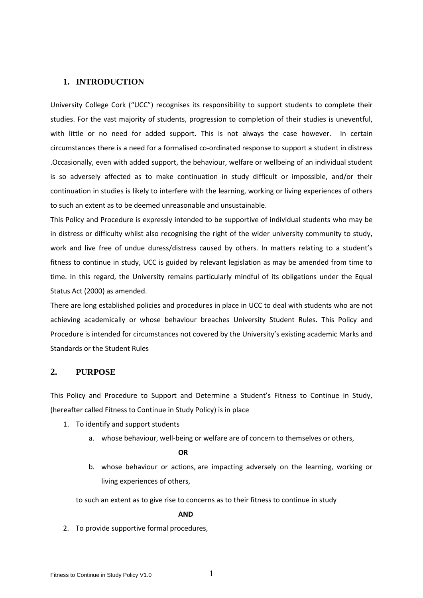### **1. INTRODUCTION**

University College Cork ("UCC") recognises its responsibility to support students to complete their studies. For the vast majority of students, progression to completion of their studies is uneventful, with little or no need for added support. This is not always the case however. In certain circumstances there is a need for a formalised co-ordinated response to support a student in distress .Occasionally, even with added support, the behaviour, welfare or wellbeing of an individual student is so adversely affected as to make continuation in study difficult or impossible, and/or their continuation in studies is likely to interfere with the learning, working or living experiences of others to such an extent as to be deemed unreasonable and unsustainable.

This Policy and Procedure is expressly intended to be supportive of individual students who may be in distress or difficulty whilst also recognising the right of the wider university community to study, work and live free of undue duress/distress caused by others. In matters relating to a student's fitness to continue in study, UCC is guided by relevant legislation as may be amended from time to time. In this regard, the University remains particularly mindful of its obligations under the Equal Status Act (2000) as amended.

There are long established policies and procedures in place in UCC to deal with students who are not achieving academically or whose behaviour breaches University Student Rules. This Policy and Procedure is intended for circumstances not covered by the University's existing academic Marks and Standards or the Student Rules

## **2. PURPOSE**

This Policy and Procedure to Support and Determine a Student's Fitness to Continue in Study, (hereafter called Fitness to Continue in Study Policy) is in place

- 1. To identify and support students
	- a. whose behaviour, well-being or welfare are of concern to themselves or others,

#### **OR**

b. whose behaviour or actions, are impacting adversely on the learning, working or living experiences of others,

to such an extent as to give rise to concerns as to their fitness to continue in study

#### **AND**

2. To provide supportive formal procedures,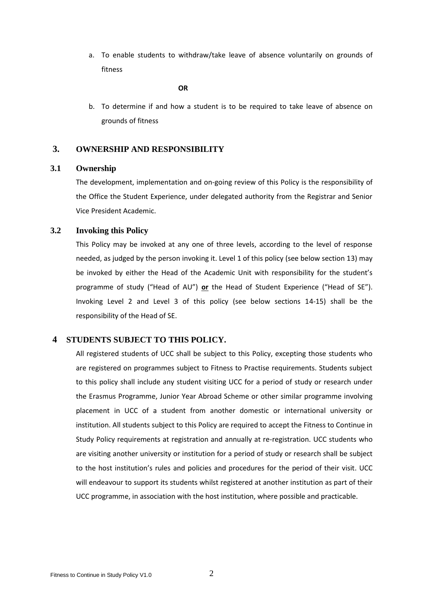a. To enable students to withdraw/take leave of absence voluntarily on grounds of fitness

#### **OR**

b. To determine if and how a student is to be required to take leave of absence on grounds of fitness

## **3. OWNERSHIP AND RESPONSIBILITY**

## **3.1 Ownership**

The development, implementation and on-going review of this Policy is the responsibility of the Office the Student Experience, under delegated authority from the Registrar and Senior Vice President Academic.

## **3.2 Invoking this Policy**

This Policy may be invoked at any one of three levels, according to the level of response needed, as judged by the person invoking it. Level 1 of this policy (see below section 13) may be invoked by either the Head of the Academic Unit with responsibility for the student's programme of study ("Head of AU") **or** the Head of Student Experience ("Head of SE"). Invoking Level 2 and Level 3 of this policy (see below sections 14-15) shall be the responsibility of the Head of SE.

## **4 STUDENTS SUBJECT TO THIS POLICY.**

All registered students of UCC shall be subject to this Policy, excepting those students who are registered on programmes subject to Fitness to Practise requirements. Students subject to this policy shall include any student visiting UCC for a period of study or research under the Erasmus Programme, Junior Year Abroad Scheme or other similar programme involving placement in UCC of a student from another domestic or international university or institution. All students subject to this Policy are required to accept the Fitness to Continue in Study Policy requirements at registration and annually at re-registration. UCC students who are visiting another university or institution for a period of study or research shall be subject to the host institution's rules and policies and procedures for the period of their visit. UCC will endeavour to support its students whilst registered at another institution as part of their UCC programme, in association with the host institution, where possible and practicable.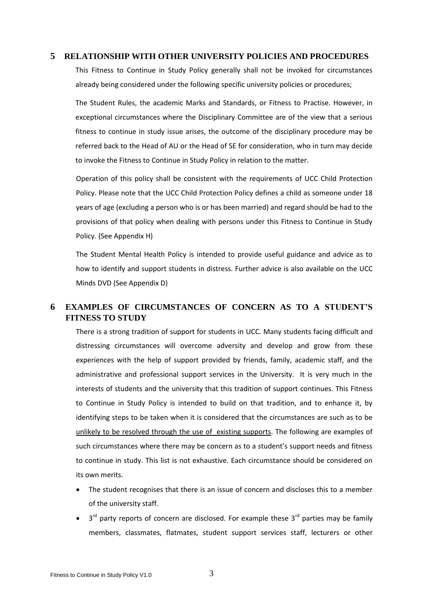### **5 RELATIONSHIP WITH OTHER UNIVERSITY POLICIES AND PROCEDURES**

This Fitness to Continue in Study Policy generally shall not be invoked for circumstances already being considered under the following specific university policies or procedures;

The Student Rules, the academic Marks and Standards, or Fitness to Practise. However, in exceptional circumstances where the Disciplinary Committee are of the view that a serious fitness to continue in study issue arises, the outcome of the disciplinary procedure may be referred back to the Head of AU or the Head of SE for consideration, who in turn may decide to invoke the Fitness to Continue in Study Policy in relation to the matter.

Operation of this policy shall be consistent with the requirements of UCC Child Protection Policy. Please note that the UCC Child Protection Policy defines a child as someone under 18 years of age (excluding a person who is or has been married) and regard should be had to the provisions of that policy when dealing with persons under this Fitness to Continue in Study Policy. (See Appendix H)

The Student Mental Health Policy is intended to provide useful guidance and advice as to how to identify and support students in distress. Further advice is also available on the UCC Minds DVD (See Appendix D)

# **6 EXAMPLES OF CIRCUMSTANCES OF CONCERN AS TO A STUDENT'S FITNESS TO STUDY**

There is a strong tradition of support for students in UCC. Many students facing difficult and distressing circumstances will overcome adversity and develop and grow from these experiences with the help of support provided by friends, family, academic staff, and the administrative and professional support services in the University. It is very much in the interests of students and the university that this tradition of support continues. This Fitness to Continue in Study Policy is intended to build on that tradition, and to enhance it, by identifying steps to be taken when it is considered that the circumstances are such as to be unlikely to be resolved through the use of existing supports. The following are examples of such circumstances where there may be concern as to a student's support needs and fitness to continue in study. This list is not exhaustive. Each circumstance should be considered on its own merits.

- The student recognises that there is an issue of concern and discloses this to a member of the university staff.
- $\bullet$  3<sup>rd</sup> party reports of concern are disclosed. For example these 3<sup>rd</sup> parties may be family members, classmates, flatmates, student support services staff, lecturers or other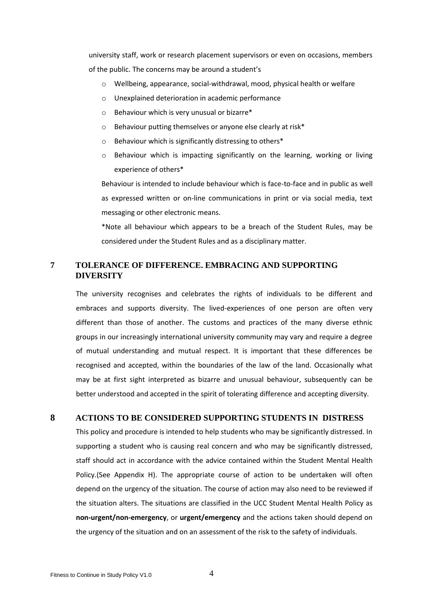university staff, work or research placement supervisors or even on occasions, members of the public. The concerns may be around a student's

- $\circ$  Wellbeing, appearance, social-withdrawal, mood, physical health or welfare
- o Unexplained deterioration in academic performance
- o Behaviour which is very unusual or bizarre\*
- o Behaviour putting themselves or anyone else clearly at risk\*
- o Behaviour which is significantly distressing to others\*
- $\circ$  Behaviour which is impacting significantly on the learning, working or living experience of others\*

Behaviour is intended to include behaviour which is face-to-face and in public as well as expressed written or on-line communications in print or via social media, text messaging or other electronic means.

\*Note all behaviour which appears to be a breach of the Student Rules, may be considered under the Student Rules and as a disciplinary matter.

## **7 TOLERANCE OF DIFFERENCE. EMBRACING AND SUPPORTING DIVERSITY**

The university recognises and celebrates the rights of individuals to be different and embraces and supports diversity. The lived-experiences of one person are often very different than those of another. The customs and practices of the many diverse ethnic groups in our increasingly international university community may vary and require a degree of mutual understanding and mutual respect. It is important that these differences be recognised and accepted, within the boundaries of the law of the land. Occasionally what may be at first sight interpreted as bizarre and unusual behaviour, subsequently can be better understood and accepted in the spirit of tolerating difference and accepting diversity.

## **8 ACTIONS TO BE CONSIDERED SUPPORTING STUDENTS IN DISTRESS**

This policy and procedure is intended to help students who may be significantly distressed. In supporting a student who is causing real concern and who may be significantly distressed, staff should act in accordance with the advice contained within the Student Mental Health Policy.(See Appendix H). The appropriate course of action to be undertaken will often depend on the urgency of the situation. The course of action may also need to be reviewed if the situation alters. The situations are classified in the UCC Student Mental Health Policy as **non-urgent/non-emergency**, or **urgent/emergency** and the actions taken should depend on the urgency of the situation and on an assessment of the risk to the safety of individuals.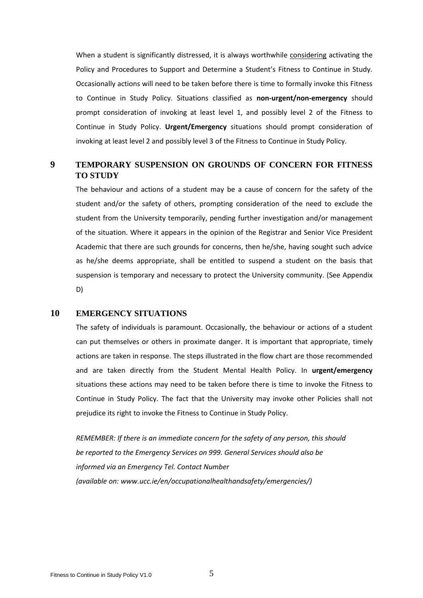When a student is significantly distressed, it is always worthwhile considering activating the Policy and Procedures to Support and Determine a Student's Fitness to Continue in Study. Occasionally actions will need to be taken before there is time to formally invoke this Fitness to Continue in Study Policy. Situations classified as **non-urgent/non-emergency** should prompt consideration of invoking at least level 1, and possibly level 2 of the Fitness to Continue in Study Policy. **Urgent/Emergency** situations should prompt consideration of invoking at least level 2 and possibly level 3 of the Fitness to Continue in Study Policy.

## **9 TEMPORARY SUSPENSION ON GROUNDS OF CONCERN FOR FITNESS TO STUDY**

The behaviour and actions of a student may be a cause of concern for the safety of the student and/or the safety of others, prompting consideration of the need to exclude the student from the University temporarily, pending further investigation and/or management of the situation. Where it appears in the opinion of the Registrar and Senior Vice President Academic that there are such grounds for concerns, then he/she, having sought such advice as he/she deems appropriate, shall be entitled to suspend a student on the basis that suspension is temporary and necessary to protect the University community. (See Appendix D)

#### **10 EMERGENCY SITUATIONS**

The safety of individuals is paramount. Occasionally, the behaviour or actions of a student can put themselves or others in proximate danger. It is important that appropriate, timely actions are taken in response. The steps illustrated in the flow chart are those recommended and are taken directly from the Student Mental Health Policy. In **urgent/emergency** situations these actions may need to be taken before there is time to invoke the Fitness to Continue in Study Policy. The fact that the University may invoke other Policies shall not prejudice its right to invoke the Fitness to Continue in Study Policy.

*REMEMBER: If there is an immediate concern for the safety of any person, this should be reported to the Emergency Services on 999. General Services should also be informed via an Emergency Tel. Contact Number (available on: www.ucc.ie/en/occupationalhealthandsafety/emergencies/)*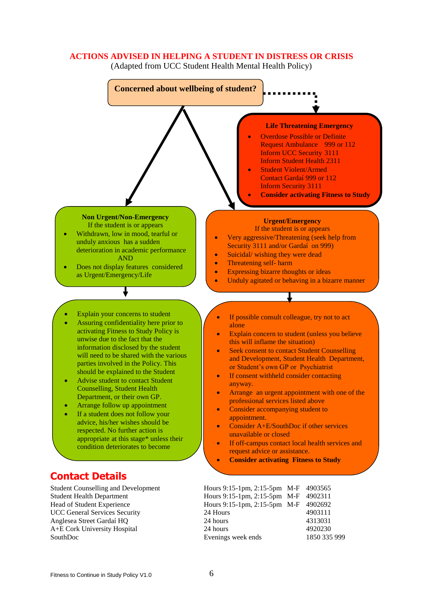### **ACTIONS ADVISED IN HELPING A STUDENT IN DISTRESS OR CRISIS**

(Adapted from UCC Student Health Mental Health Policy)

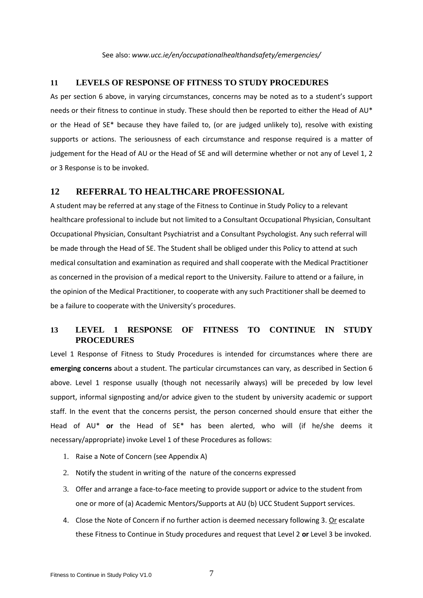See also: *www.ucc.ie/en/occupationalhealthandsafety/emergencies/*

### **11 LEVELS OF RESPONSE OF FITNESS TO STUDY PROCEDURES**

As per section 6 above, in varying circumstances, concerns may be noted as to a student's support needs or their fitness to continue in study. These should then be reported to either the Head of AU\* or the Head of SE\* because they have failed to, (or are judged unlikely to), resolve with existing supports or actions. The seriousness of each circumstance and response required is a matter of judgement for the Head of AU or the Head of SE and will determine whether or not any of Level 1, 2 or 3 Response is to be invoked.

## **12 REFERRAL TO HEALTHCARE PROFESSIONAL**

A student may be referred at any stage of the Fitness to Continue in Study Policy to a relevant healthcare professional to include but not limited to a Consultant Occupational Physician, Consultant Occupational Physician, Consultant Psychiatrist and a Consultant Psychologist. Any such referral will be made through the Head of SE. The Student shall be obliged under this Policy to attend at such medical consultation and examination as required and shall cooperate with the Medical Practitioner as concerned in the provision of a medical report to the University. Failure to attend or a failure, in the opinion of the Medical Practitioner, to cooperate with any such Practitioner shall be deemed to be a failure to cooperate with the University's procedures.

## **13 LEVEL 1 RESPONSE OF FITNESS TO CONTINUE IN STUDY PROCEDURES**

Level 1 Response of Fitness to Study Procedures is intended for circumstances where there are **emerging concerns** about a student. The particular circumstances can vary, as described in Section 6 above. Level 1 response usually (though not necessarily always) will be preceded by low level support, informal signposting and/or advice given to the student by university academic or support staff. In the event that the concerns persist, the person concerned should ensure that either the Head of AU\* **or** the Head of SE\* has been alerted, who will (if he/she deems it necessary/appropriate) invoke Level 1 of these Procedures as follows:

- 1. Raise a Note of Concern (see Appendix A)
- 2. Notify the student in writing of the nature of the concerns expressed
- 3. Offer and arrange a face-to-face meeting to provide support or advice to the student from one or more of (a) Academic Mentors/Supports at AU (b) UCC Student Support services.
- 4. Close the Note of Concern if no further action is deemed necessary following 3. Or escalate these Fitness to Continue in Study procedures and request that Level 2 **or** Level 3 be invoked.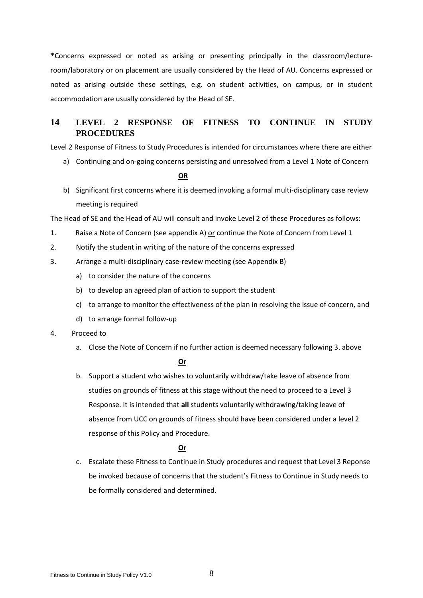\*Concerns expressed or noted as arising or presenting principally in the classroom/lectureroom/laboratory or on placement are usually considered by the Head of AU. Concerns expressed or noted as arising outside these settings, e.g. on student activities, on campus, or in student accommodation are usually considered by the Head of SE.

## **14 LEVEL 2 RESPONSE OF FITNESS TO CONTINUE IN STUDY PROCEDURES**

Level 2 Response of Fitness to Study Procedures is intended for circumstances where there are either

a) Continuing and on-going concerns persisting and unresolved from a Level 1 Note of Concern

**OR**

b) Significant first concerns where it is deemed invoking a formal multi-disciplinary case review meeting is required

The Head of SE and the Head of AU will consult and invoke Level 2 of these Procedures as follows:

- 1. Raise a Note of Concern (see appendix A) or continue the Note of Concern from Level 1
- 2. Notify the student in writing of the nature of the concerns expressed
- 3. Arrange a multi-disciplinary case-review meeting (see Appendix B)
	- a) to consider the nature of the concerns
	- b) to develop an agreed plan of action to support the student
	- c) to arrange to monitor the effectiveness of the plan in resolving the issue of concern, and
	- d) to arrange formal follow-up
- 4. Proceed to
	- a. Close the Note of Concern if no further action is deemed necessary following 3. above

**Or**

b. Support a student who wishes to voluntarily withdraw/take leave of absence from studies on grounds of fitness at this stage without the need to proceed to a Level 3 Response. It is intended that **all** students voluntarily withdrawing/taking leave of absence from UCC on grounds of fitness should have been considered under a level 2 response of this Policy and Procedure.

### **Or**

c. Escalate these Fitness to Continue in Study procedures and request that Level 3 Reponse be invoked because of concerns that the student's Fitness to Continue in Study needs to be formally considered and determined.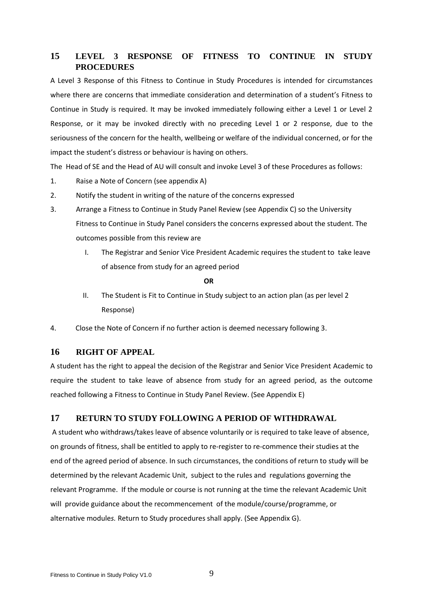## **15 LEVEL 3 RESPONSE OF FITNESS TO CONTINUE IN STUDY PROCEDURES**

A Level 3 Response of this Fitness to Continue in Study Procedures is intended for circumstances where there are concerns that immediate consideration and determination of a student's Fitness to Continue in Study is required. It may be invoked immediately following either a Level 1 or Level 2 Response, or it may be invoked directly with no preceding Level 1 or 2 response, due to the seriousness of the concern for the health, wellbeing or welfare of the individual concerned, or for the impact the student's distress or behaviour is having on others.

The Head of SE and the Head of AU will consult and invoke Level 3 of these Procedures as follows:

- 1. Raise a Note of Concern (see appendix A)
- 2. Notify the student in writing of the nature of the concerns expressed
- 3. Arrange a Fitness to Continue in Study Panel Review (see Appendix C) so the University Fitness to Continue in Study Panel considers the concerns expressed about the student. The outcomes possible from this review are
	- I. The Registrar and Senior Vice President Academic requires the student to take leave of absence from study for an agreed period

**OR**

- II. The Student is Fit to Continue in Study subject to an action plan (as per level 2 Response)
- 4. Close the Note of Concern if no further action is deemed necessary following 3.

#### **16 RIGHT OF APPEAL**

A student has the right to appeal the decision of the Registrar and Senior Vice President Academic to require the student to take leave of absence from study for an agreed period, as the outcome reached following a Fitness to Continue in Study Panel Review. (See Appendix E)

## **17 RETURN TO STUDY FOLLOWING A PERIOD OF WITHDRAWAL**

A student who withdraws/takes leave of absence voluntarily or is required to take leave of absence, on grounds of fitness, shall be entitled to apply to re-register to re-commence their studies at the end of the agreed period of absence. In such circumstances, the conditions of return to study will be determined by the relevant Academic Unit, subject to the rules and regulations governing the relevant Programme. If the module or course is not running at the time the relevant Academic Unit will provide guidance about the recommencement of the module/course/programme, or alternative module*s.* Return to Study procedures shall apply. (See Appendix G).